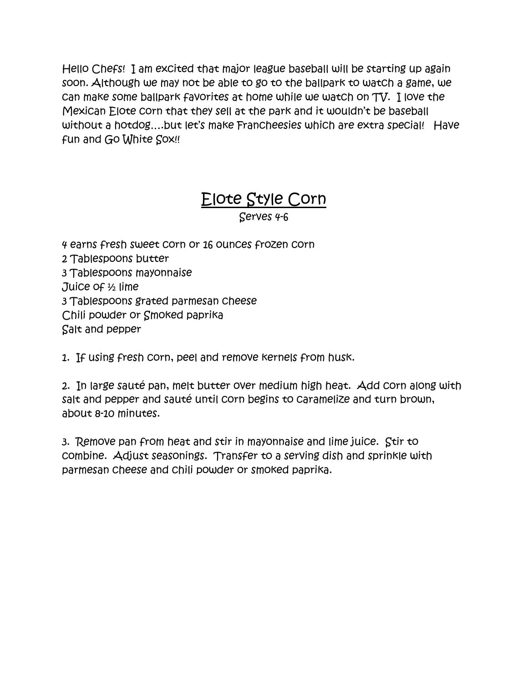Hello Chefs! I am excited that major league baseball will be starting up again soon. Although we may not be able to go to the ballpark to watch a game, we can make some ballpark favorites at home while we watch on TV. I love the Mexican Elote corn that they sell at the park and it wouldn't be baseball without a hotdog….but let's make Francheesies which are extra special! Have fun and Go White Sox!!

## Elote Style Corn

Serves 4-6

4 earns fresh sweet corn or 16 ounces frozen corn 2 Tablespoons butter 3 Tablespoons mayonnaise Juice of ½ lime 3 Tablespoons grated parmesan cheese Chili powder or Smoked paprika Salt and pepper

1. If using fresh corn, peel and remove kernels from husk.

2. In large sauté pan, melt butter over medium high heat. Add corn along with salt and pepper and sauté until corn begins to caramelize and turn brown, about 8-10 minutes.

3. Remove pan from heat and stir in mayonnaise and lime juice. Stir to combine. Adjust seasonings. Transfer to a serving dish and sprinkle with parmesan cheese and chili powder or smoked paprika.